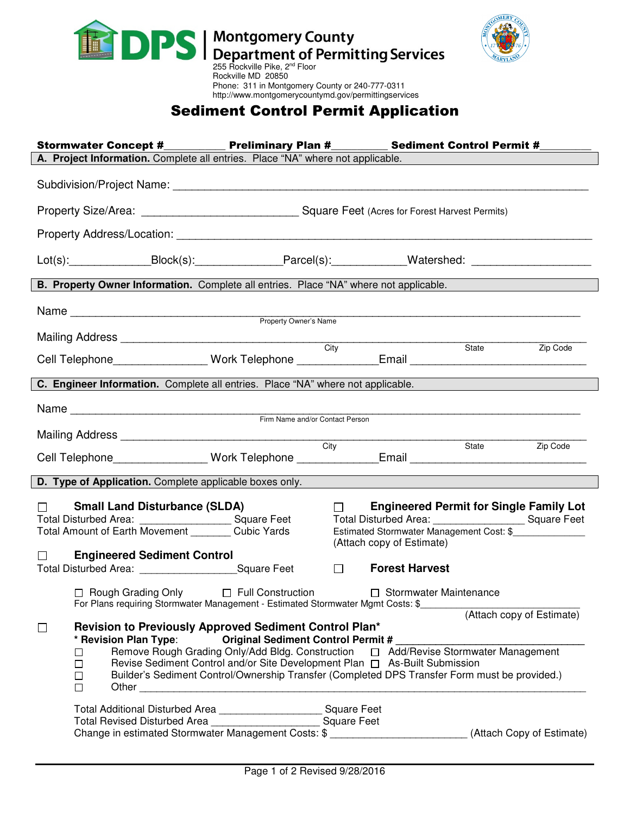



## Phone: 311 in Montgomery County or 240-777-0311 http://www.montgomerycountymd.gov/permittingservices Sediment Control Permit Application

|                                                                                                                                                                                                                                                                                                                                                                                                                                                                                                                                                                                                                                                                                                          |                                    | Stormwater Concept #____________ Preliminary Plan #___________ Sediment Control Permit #_________                           |        |                               |                       |  |  |  |
|----------------------------------------------------------------------------------------------------------------------------------------------------------------------------------------------------------------------------------------------------------------------------------------------------------------------------------------------------------------------------------------------------------------------------------------------------------------------------------------------------------------------------------------------------------------------------------------------------------------------------------------------------------------------------------------------------------|------------------------------------|-----------------------------------------------------------------------------------------------------------------------------|--------|-------------------------------|-----------------------|--|--|--|
| A. Project Information. Complete all entries. Place "NA" where not applicable.                                                                                                                                                                                                                                                                                                                                                                                                                                                                                                                                                                                                                           |                                    |                                                                                                                             |        |                               |                       |  |  |  |
|                                                                                                                                                                                                                                                                                                                                                                                                                                                                                                                                                                                                                                                                                                          |                                    |                                                                                                                             |        |                               |                       |  |  |  |
|                                                                                                                                                                                                                                                                                                                                                                                                                                                                                                                                                                                                                                                                                                          |                                    |                                                                                                                             |        |                               |                       |  |  |  |
|                                                                                                                                                                                                                                                                                                                                                                                                                                                                                                                                                                                                                                                                                                          |                                    |                                                                                                                             |        |                               |                       |  |  |  |
|                                                                                                                                                                                                                                                                                                                                                                                                                                                                                                                                                                                                                                                                                                          |                                    | Lot(s):_____________________Block(s):______________________Parcel(s):__________________Watershed: ___________________       |        |                               |                       |  |  |  |
| B. Property Owner Information. Complete all entries. Place "NA" where not applicable.                                                                                                                                                                                                                                                                                                                                                                                                                                                                                                                                                                                                                    |                                    |                                                                                                                             |        |                               |                       |  |  |  |
|                                                                                                                                                                                                                                                                                                                                                                                                                                                                                                                                                                                                                                                                                                          |                                    |                                                                                                                             |        |                               |                       |  |  |  |
|                                                                                                                                                                                                                                                                                                                                                                                                                                                                                                                                                                                                                                                                                                          |                                    |                                                                                                                             |        |                               |                       |  |  |  |
|                                                                                                                                                                                                                                                                                                                                                                                                                                                                                                                                                                                                                                                                                                          |                                    |                                                                                                                             |        |                               |                       |  |  |  |
|                                                                                                                                                                                                                                                                                                                                                                                                                                                                                                                                                                                                                                                                                                          |                                    | Cell Telephone________________Work Telephone ______________Email __________________________________                         |        |                               | State<br>Zip Code     |  |  |  |
|                                                                                                                                                                                                                                                                                                                                                                                                                                                                                                                                                                                                                                                                                                          |                                    | C. Engineer Information. Complete all entries. Place "NA" where not applicable.                                             |        |                               |                       |  |  |  |
|                                                                                                                                                                                                                                                                                                                                                                                                                                                                                                                                                                                                                                                                                                          |                                    |                                                                                                                             |        |                               |                       |  |  |  |
|                                                                                                                                                                                                                                                                                                                                                                                                                                                                                                                                                                                                                                                                                                          |                                    |                                                                                                                             |        |                               |                       |  |  |  |
|                                                                                                                                                                                                                                                                                                                                                                                                                                                                                                                                                                                                                                                                                                          |                                    | Mailing Address <u>City</u>                                                                                                 |        |                               |                       |  |  |  |
| Cell Telephone________________Work Telephone ______________Email ________________                                                                                                                                                                                                                                                                                                                                                                                                                                                                                                                                                                                                                        |                                    |                                                                                                                             |        |                               | State <b>Zip Code</b> |  |  |  |
|                                                                                                                                                                                                                                                                                                                                                                                                                                                                                                                                                                                                                                                                                                          |                                    | D. Type of Application. Complete applicable boxes only.                                                                     |        |                               |                       |  |  |  |
| $\Box$ Small Land Disturbance (SLDA)<br>$\Box$<br><b>Engineered Permit for Single Family Lot</b><br>Total Disturbed Area: ___________________________Square Feet<br>Total Disturbed Area: _________________________ Square Feet<br>Total Amount of Earth Movement _________ Cubic Yards<br>Estimated Stormwater Management Cost: \$                                                                                                                                                                                                                                                                                                                                                                      |                                    |                                                                                                                             |        |                               |                       |  |  |  |
| $\Box$                                                                                                                                                                                                                                                                                                                                                                                                                                                                                                                                                                                                                                                                                                   | <b>Engineered Sediment Control</b> |                                                                                                                             |        | (Attach copy of Estimate)     |                       |  |  |  |
|                                                                                                                                                                                                                                                                                                                                                                                                                                                                                                                                                                                                                                                                                                          |                                    | Total Disturbed Area: _______________________Square Feet                                                                    | $\Box$ | <b>Forest Harvest</b>         |                       |  |  |  |
|                                                                                                                                                                                                                                                                                                                                                                                                                                                                                                                                                                                                                                                                                                          |                                    | □ Rough Grading Only □ Full Construction<br>For Plans requiring Stormwater Management - Estimated Stormwater Mgmt Costs: \$ |        | $\Box$ Stormwater Maintenance |                       |  |  |  |
| (Attach copy of Estimate)<br>Revision to Previously Approved Sediment Control Plan*<br>$\Box$<br>* Revision Plan Type: Criginal Sediment Control Permit #<br>Remove Rough Grading Only/Add Bldg. Construction $\Box$ Add/Revise Stormwater Management<br>ப<br>Revise Sediment Control and/or Site Development Plan $\Box$ As-Built Submission<br>$\Box$<br>Builder's Sediment Control/Ownership Transfer (Completed DPS Transfer Form must be provided.)<br>$\Box$<br>Other contracts and contracts are all the contracts of the contracts of the contracts of the contracts of the contracts of the contracts of the contracts of the contracts of the contracts of the contracts of the contracts<br>п |                                    |                                                                                                                             |        |                               |                       |  |  |  |
|                                                                                                                                                                                                                                                                                                                                                                                                                                                                                                                                                                                                                                                                                                          |                                    | Total Additional Disturbed Area _________________________ Square Feet                                                       |        |                               |                       |  |  |  |
|                                                                                                                                                                                                                                                                                                                                                                                                                                                                                                                                                                                                                                                                                                          |                                    |                                                                                                                             |        |                               |                       |  |  |  |